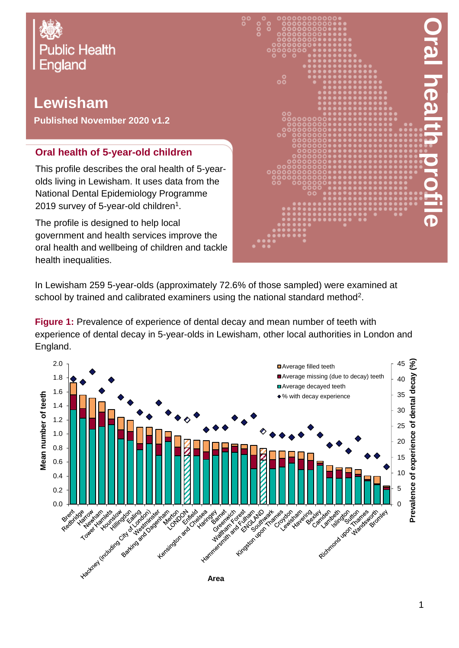

## **Lewisham**

**Published November 2020 v1.2**

## **Oral health of 5-year-old children**

This profile describes the oral health of 5-yearolds living in Lewisham. It uses data from the National Dental Epidemiology Programme 2019 survey of 5-year-old children $^{\rm 1}.$ 

The profile is designed to help local government and health services improve the oral health and wellbeing of children and tackle health inequalities.



In Lewisham 259 5-year-olds (approximately 72.6% of those sampled) were examined at school by trained and calibrated examiners using the national standard method<sup>2</sup>.

**Figure 1:** Prevalence of experience of dental decay and mean number of teeth with experience of dental decay in 5-year-olds in Lewisham, other local authorities in London and England.

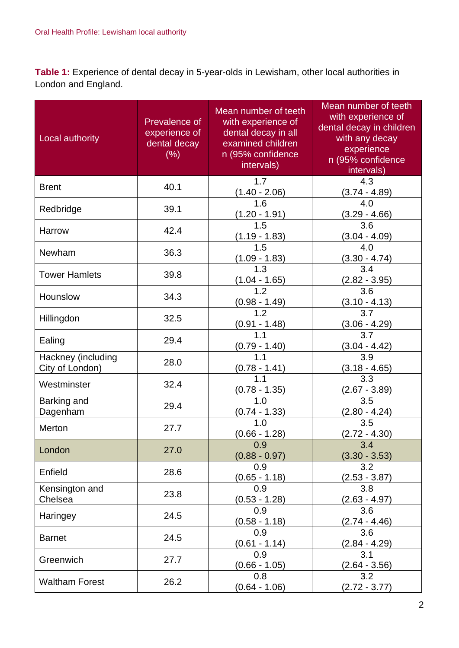**Table 1:** Experience of dental decay in 5-year-olds in Lewisham, other local authorities in London and England.

| Local authority                       | Prevalence of<br>experience of<br>dental decay<br>(% ) | Mean number of teeth<br>with experience of<br>dental decay in all<br>examined children<br>n (95% confidence<br>intervals) | Mean number of teeth<br>with experience of<br>dental decay in children<br>with any decay<br>experience<br>n (95% confidence<br>intervals) |
|---------------------------------------|--------------------------------------------------------|---------------------------------------------------------------------------------------------------------------------------|-------------------------------------------------------------------------------------------------------------------------------------------|
| <b>Brent</b>                          | 40.1                                                   | 1.7<br>$(1.40 - 2.06)$                                                                                                    | 4.3<br>$(3.74 - 4.89)$                                                                                                                    |
| Redbridge                             | 39.1                                                   | 1.6<br><u>(1.20 - 1.91)</u>                                                                                               | 4.0<br>$(3.29 - 4.66)$                                                                                                                    |
| Harrow                                | 42.4                                                   | 1.5<br>$(1.19 - 1.83)$                                                                                                    | 3.6<br>$(3.04 - 4.09)$                                                                                                                    |
| Newham                                | 36.3                                                   | 1.5<br>$(1.09 - 1.83)$                                                                                                    | 4.0<br>$(3.30 - 4.74)$                                                                                                                    |
| <b>Tower Hamlets</b>                  | 39.8                                                   | 1.3<br>$\frac{(1.04 - 1.65)}{1.2}$                                                                                        | 3.4<br>$(2.82 - 3.95)$                                                                                                                    |
| Hounslow                              | 34.3                                                   | <u>(0.98 - 1.49)</u>                                                                                                      | $\overline{3.6}$<br><u>(3.10 - 4.13)</u>                                                                                                  |
| Hillingdon                            | 32.5                                                   | 1.2<br>$\frac{(0.91 - 1.48)}{1.1}$                                                                                        | 3.7<br>$\frac{(3.06 - 4.29)}{3.7}$                                                                                                        |
| Ealing                                | 29.4                                                   | $\frac{(0.79 - 1.40)}{1.1}$                                                                                               | $\frac{(3.04 - 4.42)}{3.9}$                                                                                                               |
| Hackney (including<br>City of London) | 28.0                                                   | $(0.78 - 1.41)$                                                                                                           | $(3.18 - 4.65)$                                                                                                                           |
| Westminster                           | 32.4                                                   | $(0.78 - 1.35)$                                                                                                           | 3.3<br><u>(2.67 - 3.89)</u>                                                                                                               |
| Barking and<br>Dagenham               | 29.4                                                   | 1.0<br>$(0.74 - 1.33)$                                                                                                    | 3.5<br>(2.80 - 4.24)                                                                                                                      |
| Merton                                | 27.7                                                   | 1.0<br>$(0.66 - 1.28)$                                                                                                    | 3.5<br>$(2.72 - 4.30)$                                                                                                                    |
| London                                | 27.0                                                   | 0.9<br>$(0.88 - 0.97)$                                                                                                    | 3.4<br>$(3.30 - 3.53)$                                                                                                                    |
| Enfield                               | 28.6                                                   | 0.9<br>$(0.65 - 1.18)$                                                                                                    | 3.2<br>$(2.53 - 3.87)$                                                                                                                    |
| Kensington and<br>Chelsea             | 23.8                                                   | 0.9<br>$(0.53 - 1.28)$                                                                                                    | 3.8<br>(2.63 - 4.97)                                                                                                                      |
| Haringey                              | 24.5                                                   | 0.9<br>$(0.58 - 1.18)$                                                                                                    | 3.6<br>$(2.74 - 4.46)$                                                                                                                    |
| <b>Barnet</b>                         | 24.5                                                   | 0.9<br>$(0.61 - 1.14)$                                                                                                    | 3.6<br>(2.84 - 4.29)                                                                                                                      |
| Greenwich                             | 27.7                                                   | 0.9<br>$(0.66 - 1.05)$                                                                                                    | 3.1<br>$(2.64 - 3.56)$                                                                                                                    |
| <b>Waltham Forest</b>                 | 26.2                                                   | 0.8<br>$(0.64 - 1.06)$                                                                                                    | 3.2<br>$(2.72 - 3.77)$                                                                                                                    |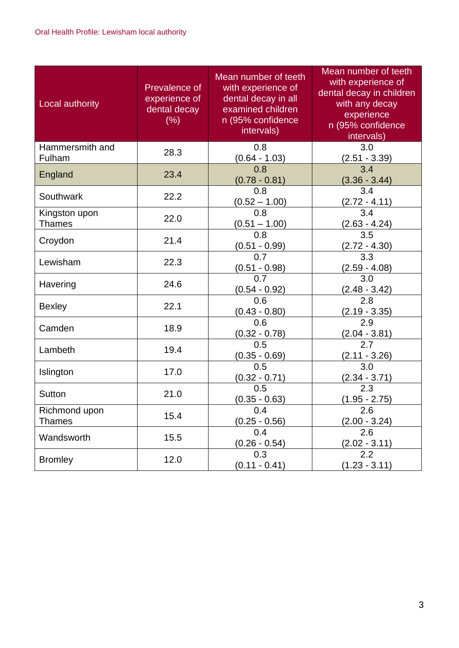| Local authority                | Prevalence of<br>experience of<br>dental decay<br>(% ) | Mean number of teeth<br>with experience of<br>dental decay in all<br>examined children<br>n (95% confidence<br>intervals) | Mean number of teeth<br>with experience of<br>dental decay in children<br>with any decay<br>experience<br>n (95% confidence<br>intervals) |
|--------------------------------|--------------------------------------------------------|---------------------------------------------------------------------------------------------------------------------------|-------------------------------------------------------------------------------------------------------------------------------------------|
| Hammersmith and<br>Fulham      | 28.3                                                   | 0.8<br>$(0.64 - 1.03)$                                                                                                    | 3.0<br>$(2.51 - 3.39)$                                                                                                                    |
| England                        | 23.4                                                   | 0.8<br>$(0.78 - 0.81)$                                                                                                    | 3.4<br>$(3.36 - 3.44)$                                                                                                                    |
| Southwark                      | 22.2                                                   | 0.8<br>$(0.52 - 1.00)$                                                                                                    | 3.4<br>$(2.72 - 4.11)$                                                                                                                    |
| Kingston upon<br><b>Thames</b> | 22.0                                                   | 0.8<br>$(0.51 - 1.00)$                                                                                                    | 3.4<br>$(2.63 - 4.24)$                                                                                                                    |
| Croydon                        | 21.4                                                   | 0.8<br>$(0.51 - 0.99)$                                                                                                    | 3.5<br>$(2.72 - 4.30)$                                                                                                                    |
| Lewisham                       | 22.3                                                   | 0.7<br>$(0.51 - 0.98)$                                                                                                    | 3.3<br>(2.59 - 4.08)                                                                                                                      |
| Havering                       | 24.6                                                   | 0.7<br>$(0.54 - 0.92)$                                                                                                    | 3.0<br>$(2.48 - 3.42)$                                                                                                                    |
| <b>Bexley</b>                  | 22.1                                                   | 0.6<br>$(0.43 - 0.80)$                                                                                                    | 2.8<br>$(2.19 - 3.35)$                                                                                                                    |
| Camden                         | 18.9                                                   | 0.6<br>$(0.32 - 0.78)$                                                                                                    | 2.9<br>$(2.04 - 3.81)$                                                                                                                    |
| Lambeth                        | 19.4                                                   | 0.5<br>$(0.35 - 0.69)$                                                                                                    | 2.7<br>$(2.11 - 3.26)$                                                                                                                    |
| Islington                      | 17.0                                                   | 0.5<br>$(0.32 - 0.71)$                                                                                                    | 3.0<br>$(2.34 - 3.71)$                                                                                                                    |
| <b>Sutton</b>                  | 21.0                                                   | 0.5<br>$(0.35 - 0.63)$                                                                                                    | 2.3<br>$(1.95 - 2.75)$                                                                                                                    |
| Richmond upon<br><b>Thames</b> | 15.4                                                   | 0.4<br>$(0.25 - 0.56)$                                                                                                    | 2.6<br>$(2.00 - 3.24)$                                                                                                                    |
| Wandsworth                     | 15.5                                                   | 0.4<br>$(0.26 - 0.54)$                                                                                                    | 2.6<br>$(2.02 - 3.11)$                                                                                                                    |
| <b>Bromley</b>                 | 12.0                                                   | 0.3<br>$(0.11 - 0.41)$                                                                                                    | 2.2<br>$(1.23 - 3.11)$                                                                                                                    |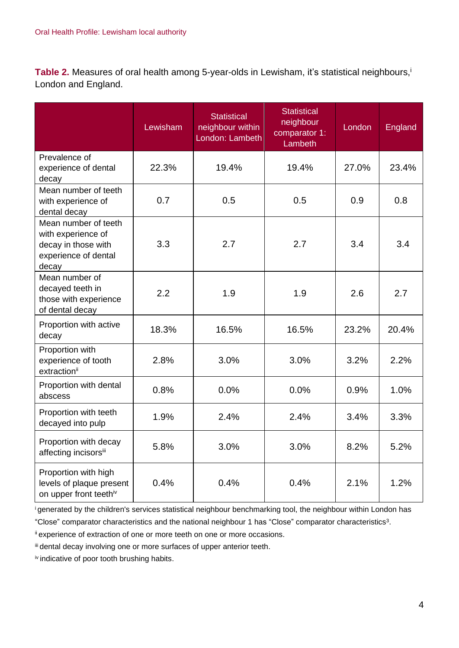**Table 2.** Measures of oral health among 5-year-olds in Lewisham, it's statistical neighbours, i London and England.

|                                                                                                    | Lewisham | <b>Statistical</b><br>neighbour within<br>London: Lambeth | <b>Statistical</b><br>neighbour<br>comparator 1:<br>Lambeth | London | England |
|----------------------------------------------------------------------------------------------------|----------|-----------------------------------------------------------|-------------------------------------------------------------|--------|---------|
| Prevalence of<br>experience of dental<br>decay                                                     | 22.3%    | 19.4%                                                     | 19.4%                                                       | 27.0%  | 23.4%   |
| Mean number of teeth<br>with experience of<br>dental decay                                         | 0.7      | 0.5                                                       | 0.5                                                         | 0.9    | 0.8     |
| Mean number of teeth<br>with experience of<br>decay in those with<br>experience of dental<br>decay | 3.3      | 2.7                                                       | 2.7                                                         | 3.4    | 3.4     |
| Mean number of<br>decayed teeth in<br>those with experience<br>of dental decay                     | 2.2      | 1.9                                                       | 1.9                                                         | 2.6    | 2.7     |
| Proportion with active<br>decay                                                                    | 18.3%    | 16.5%                                                     | 16.5%                                                       | 23.2%  | 20.4%   |
| Proportion with<br>experience of tooth<br>extractionii                                             | 2.8%     | 3.0%                                                      | 3.0%                                                        | 3.2%   | 2.2%    |
| Proportion with dental<br>abscess                                                                  | 0.8%     | 0.0%                                                      | 0.0%                                                        | 0.9%   | 1.0%    |
| Proportion with teeth<br>decayed into pulp                                                         | 1.9%     | 2.4%                                                      | 2.4%                                                        | 3.4%   | 3.3%    |
| Proportion with decay<br>affecting incisorsii                                                      | 5.8%     | 3.0%                                                      | 3.0%                                                        | 8.2%   | 5.2%    |
| Proportion with high<br>levels of plaque present<br>on upper front teethiv                         | 0.4%     | 0.4%                                                      | 0.4%                                                        | 2.1%   | 1.2%    |

<sup>i</sup>generated by the children's services statistical neighbour benchmarking tool, the neighbour within London has

"Close" comparator characteristics and the national neighbour 1 has "Close" comparator characteristics<sup>3</sup> .

ii experience of extraction of one or more teeth on one or more occasions.

iii dental decay involving one or more surfaces of upper anterior teeth.

iv indicative of poor tooth brushing habits.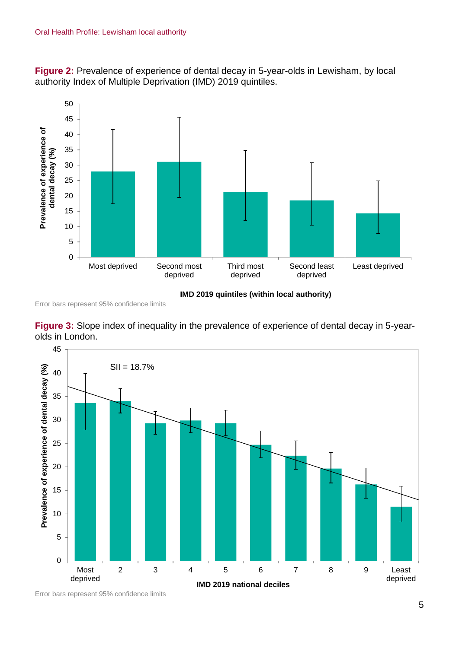**Figure 2:** Prevalence of experience of dental decay in 5-year-olds in Lewisham, by local authority Index of Multiple Deprivation (IMD) 2019 quintiles.



**IMD 2019 quintiles (within local authority)**

Error bars represent 95% confidence limits





Error bars represent 95% confidence limits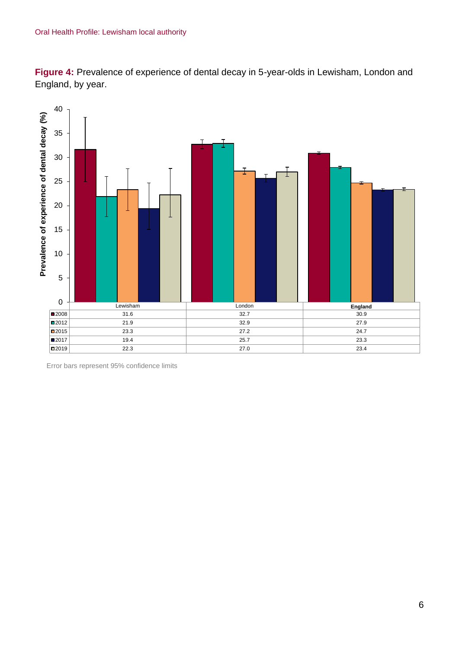



Error bars represent 95% confidence limits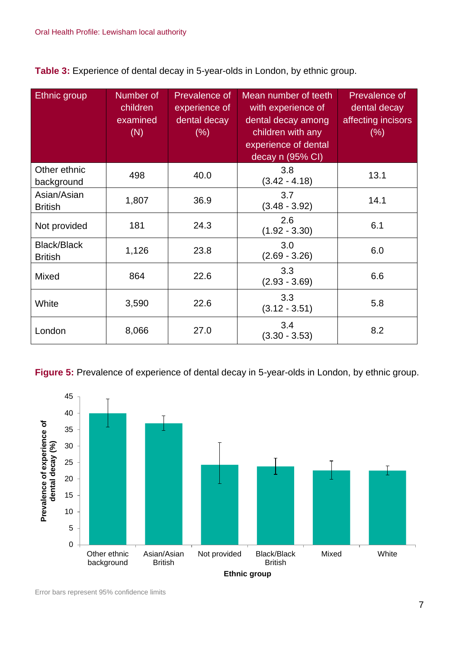**Table 3:** Experience of dental decay in 5-year-olds in London, by ethnic group.

| Ethnic group                         | Number of<br>children<br>examined<br>(N) | Prevalence of<br>experience of<br>dental decay<br>$(\% )$ | Mean number of teeth<br>with experience of<br>dental decay among<br>children with any<br>experience of dental<br>decay n (95% CI) | Prevalence of<br>dental decay<br>affecting incisors<br>$(\% )$ |
|--------------------------------------|------------------------------------------|-----------------------------------------------------------|-----------------------------------------------------------------------------------------------------------------------------------|----------------------------------------------------------------|
| Other ethnic<br>background           | 498                                      | 40.0                                                      | 3.8<br>$(3.42 - 4.18)$                                                                                                            | 13.1                                                           |
| Asian/Asian<br><b>British</b>        | 1,807                                    | 36.9                                                      | 3.7<br>$(3.48 - 3.92)$                                                                                                            | 14.1                                                           |
| Not provided                         | 181                                      | 24.3                                                      | 2.6<br>$(1.92 - 3.30)$                                                                                                            | 6.1                                                            |
| <b>Black/Black</b><br><b>British</b> | 1,126                                    | 23.8                                                      | 3.0<br>$(2.69 - 3.26)$                                                                                                            | 6.0                                                            |
| <b>Mixed</b>                         | 864                                      | 22.6                                                      | 3.3<br>$(2.93 - 3.69)$                                                                                                            | 6.6                                                            |
| White                                | 3,590                                    | 22.6                                                      | 3.3<br>$(3.12 - 3.51)$                                                                                                            | 5.8                                                            |
| London                               | 8,066                                    | 27.0                                                      | 3.4<br>$(3.30 - 3.53)$                                                                                                            | 8.2                                                            |

**Figure 5:** Prevalence of experience of dental decay in 5-year-olds in London, by ethnic group.

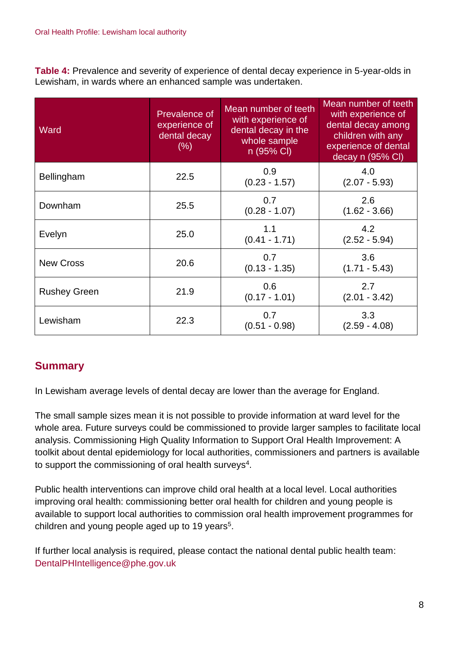**Table 4:** Prevalence and severity of experience of dental decay experience in 5-year-olds in Lewisham, in wards where an enhanced sample was undertaken.

| Ward                | Prevalence of<br>experience of<br>dental decay<br>(% ) | Mean number of teeth<br>with experience of<br>dental decay in the<br>whole sample<br>n (95% CI) | Mean number of teeth<br>with experience of<br>dental decay among<br>children with any<br>experience of dental<br>decay n (95% CI) |
|---------------------|--------------------------------------------------------|-------------------------------------------------------------------------------------------------|-----------------------------------------------------------------------------------------------------------------------------------|
| Bellingham          | 22.5                                                   | 0.9<br>$(0.23 - 1.57)$                                                                          | 4.0<br>$(2.07 - 5.93)$                                                                                                            |
| Downham             | 25.5                                                   | 0.7<br>$(0.28 - 1.07)$                                                                          | 2.6<br>$(1.62 - 3.66)$                                                                                                            |
| Evelyn              | 25.0                                                   | 1.1<br>$(0.41 - 1.71)$                                                                          | 4.2<br>$(2.52 - 5.94)$                                                                                                            |
| <b>New Cross</b>    | 20.6                                                   | 0.7<br>$(0.13 - 1.35)$                                                                          | 3.6<br>$(1.71 - 5.43)$                                                                                                            |
| <b>Rushey Green</b> | 21.9                                                   | 0.6<br>$(0.17 - 1.01)$                                                                          | 2.7<br>$(2.01 - 3.42)$                                                                                                            |
| Lewisham            | 22.3                                                   | 0.7<br>$(0.51 - 0.98)$                                                                          | 3.3<br>$(2.59 - 4.08)$                                                                                                            |

## **Summary**

In Lewisham average levels of dental decay are lower than the average for England.

The small sample sizes mean it is not possible to provide information at ward level for the whole area. Future surveys could be commissioned to provide larger samples to facilitate local analysis. Commissioning High Quality Information to Support Oral Health Improvement: A toolkit about dental epidemiology for local authorities, commissioners and partners is available to support the commissioning of oral health surveys<sup>4</sup>.

Public health interventions can improve child oral health at a local level. Local authorities improving oral health: commissioning better oral health for children and young people is available to support local authorities to commission oral health improvement programmes for children and young people aged up to 19 years<sup>5</sup>.

If further local analysis is required, please contact the national dental public health team: DentalPHIntelligence@phe.gov.uk